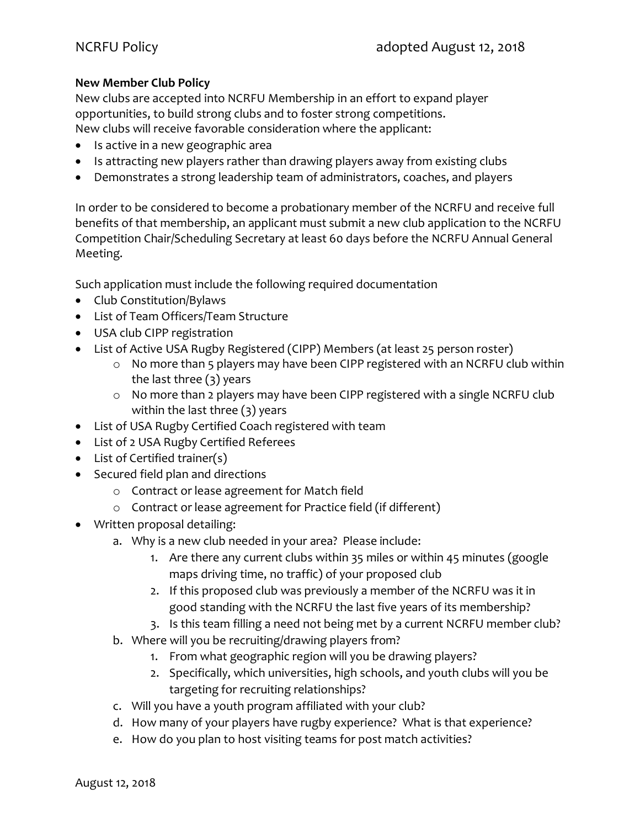## **New Member Club Policy**

New clubs are accepted into NCRFU Membership in an effort to expand player opportunities, to build strong clubs and to foster strong competitions. New clubs will receive favorable consideration where the applicant:

- Is active in a new geographic area
- Is attracting new players rather than drawing players away from existing clubs
- Demonstrates a strong leadership team of administrators, coaches, and players

In order to be considered to become a probationary member of the NCRFU and receive full benefits of that membership, an applicant must submit a new club application to the NCRFU Competition Chair/Scheduling Secretary at least 60 days before the NCRFU Annual General Meeting.

Such application must include the following required documentation

- Club Constitution/Bylaws
- List of Team Officers/Team Structure
- USA club CIPP registration
- List of Active USA Rugby Registered (CIPP) Members (at least 25 person roster)
	- o No more than 5 players may have been CIPP registered with an NCRFU club within the last three (3) years
	- o No more than 2 players may have been CIPP registered with a single NCRFU club within the last three (3) years
- List of USA Rugby Certified Coach registered with team
- List of 2 USA Rugby Certified Referees
- List of Certified trainer(s)
- Secured field plan and directions
	- o Contract or lease agreement for Match field
	- o Contract or lease agreement for Practice field (if different)
- Written proposal detailing:
	- a. Why is a new club needed in your area? Please include:
		- 1. Are there any current clubs within 35 miles or within 45 minutes (google maps driving time, no traffic) of your proposed club
		- 2. If this proposed club was previously a member of the NCRFU was it in good standing with the NCRFU the last five years of its membership?
		- 3. Is this team filling a need not being met by a current NCRFU member club?
	- b. Where will you be recruiting/drawing players from?
		- 1. From what geographic region will you be drawing players?
		- 2. Specifically, which universities, high schools, and youth clubs will you be targeting for recruiting relationships?
	- c. Will you have a youth program affiliated with your club?
	- d. How many of your players have rugby experience? What is that experience?
	- e. How do you plan to host visiting teams for post match activities?